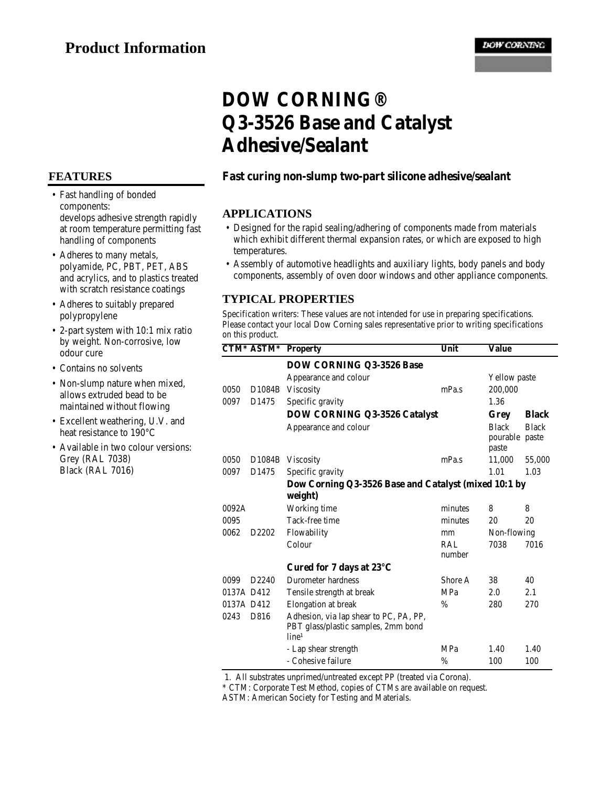### **FEATURES**

- Fast handling of bonded components: develops adhesive strength rapidly at room temperature permitting fast handling of components
- Adheres to many metals, polyamide, PC, PBT, PET, ABS and acrylics, and to plastics treated with scratch resistance coatings
- Adheres to suitably prepared polypropylene
- 2-part system with 10:1 mix ratio by weight. Non-corrosive, low odour cure
- Contains no solvents
- Non-slump nature when mixed, allows extruded bead to be maintained without flowing
- Excellent weathering, U.V. and heat resistance to 190°C
- Available in two colour versions: •Grey (RAL 7038) Black (RAL 7016)

# **DOW CORNING® Q3-3526 Base and Catalyst Adhesive/Sealant**

## **Fast curing non-slump two-part silicone adhesive/sealant**

#### **APPLICATIONS**

- Designed for the rapid sealing/adhering of components made from materials which exhibit different thermal expansion rates, or which are exposed to high temperatures.
- Assembly of automotive headlights and auxiliary lights, body panels and body components, assembly of oven door windows and other appliance components.

#### **TYPICAL PROPERTIES**

Specification writers: These values are not intended for use in preparing specifications. Please contact your local Dow Corning sales representative prior to writing specifications on this product.

|            | CTM* ASTM*        | <b>Property</b>                                                                                    | Unit          | Value                                   |              |
|------------|-------------------|----------------------------------------------------------------------------------------------------|---------------|-----------------------------------------|--------------|
|            |                   | DOW CORNING Q3-3526 Base                                                                           |               |                                         |              |
|            |                   | Appearance and colour                                                                              |               | Yellow paste                            |              |
| 0050       | D1084B            | <b>Viscosity</b>                                                                                   | mPa.s         | 200.000                                 |              |
| 0097       | D1475             | Specific gravity                                                                                   |               | 1.36                                    |              |
|            |                   | <b>DOW CORNING Q3-3526 Catalyst</b>                                                                |               | <b>Black</b><br>Grey                    |              |
|            |                   | Appearance and colour                                                                              |               | <b>Black</b><br>pourable paste<br>paste | <b>Black</b> |
| 0050       |                   | D1084B Viscosity                                                                                   | mPa.s         | 11,000                                  | 55,000       |
| 0097       | D1475             | Specific gravity                                                                                   |               | 1.01                                    | 1.03         |
|            |                   | Dow Corning Q3-3526 Base and Catalyst (mixed 10:1 by                                               |               |                                         |              |
|            |                   | weight)                                                                                            |               |                                         |              |
| 0092A      |                   | Working time                                                                                       | minutes       | 8                                       | 8            |
| 0095       |                   | Tack-free time                                                                                     | minutes       | 20                                      | 20           |
| 0062       | D2202             | Flowability                                                                                        | mm            | Non-flowing                             |              |
|            |                   | Colour                                                                                             | RAL<br>number | 7038                                    | 7016         |
|            |                   | Cured for 7 days at 23°C                                                                           |               |                                         |              |
| 0099       | D <sub>2240</sub> | Durometer hardness                                                                                 | Shore A       | 38                                      | 40           |
| 0137A D412 |                   | Tensile strength at break                                                                          | MPa           | 2.0                                     | 2.1          |
| 0137A D412 |                   | Elongation at break                                                                                | $\%$          | 280                                     | 270          |
| 0243       | D816              | Adhesion, via lap shear to PC, PA, PP,<br>PBT glass/plastic samples, 2mm bond<br>line <sup>1</sup> |               |                                         |              |
|            |                   | - Lap shear strength                                                                               | MPa           | 1.40                                    | 1.40         |
|            |                   | - Cohesive failure                                                                                 | $\%$          | 100                                     | 100          |

1. All substrates unprimed/untreated except PP (treated via Corona).

\* CTM: Corporate Test Method, copies of CTMs are available on request.

ASTM: American Society for Testing and Materials.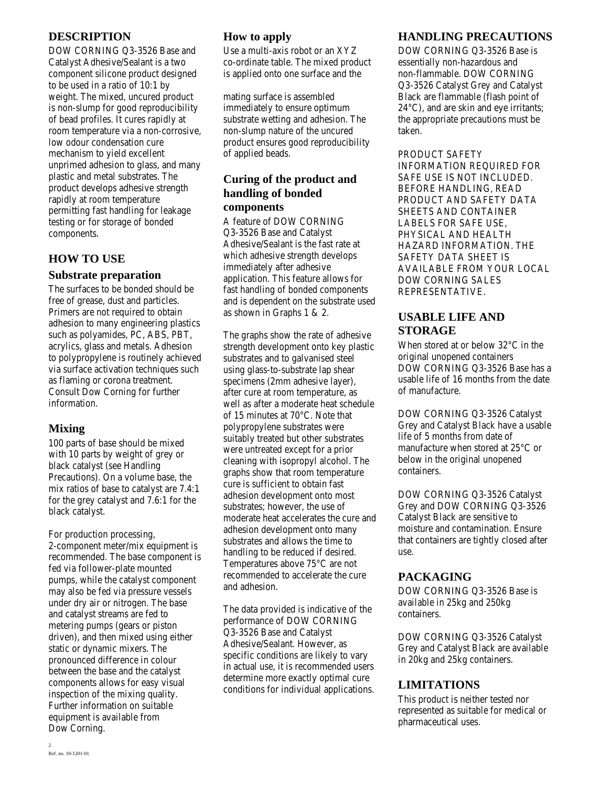## **DESCRIPTION**

DOW CORNING Q3-3526 Base and Catalyst Adhesive/Sealant is a two component silicone product designed to be used in a ratio of 10:1 by weight. The mixed, uncured product is non-slump for good reproducibility of bead profiles. It cures rapidly at room temperature via a non-corrosive, low odour condensation cure mechanism to yield excellent unprimed adhesion to glass, and many plastic and metal substrates. The product develops adhesive strength rapidly at room temperature permitting fast handling for leakage testing or for storage of bonded components.

# **HOW TO USE**

#### **Substrate preparation**

The surfaces to be bonded should be free of grease, dust and particles. Primers are not required to obtain adhesion to many engineering plastics such as polyamides, PC, ABS, PBT, acrylics, glass and metals. Adhesion to polypropylene is routinely achieved via surface activation techniques such as flaming or corona treatment. Consult Dow Corning for further information.

## **Mixing**

100 parts of base should be mixed with 10 parts by weight of grey or black catalyst (see Handling Precautions). On a volume base, the mix ratios of base to catalyst are 7.4:1 for the grey catalyst and 7.6:1 for the black catalyst.

For production processing, 2-component meter/mix equipment is recommended. The base component is fed via follower-plate mounted pumps, while the catalyst component may also be fed via pressure vessels under dry air or nitrogen. The base and catalyst streams are fed to metering pumps (gears or piston driven), and then mixed using either static or dynamic mixers. The pronounced difference in colour between the base and the catalyst components allows for easy visual inspection of the mixing quality. Further information on suitable equipment is available from Dow Corning.

# **How to apply**

Use a multi-axis robot or an XYZ co-ordinate table. The mixed product is applied onto one surface and the

mating surface is assembled immediately to ensure optimum substrate wetting and adhesion. The non-slump nature of the uncured product ensures good reproducibility of applied beads.

## **Curing of the product and handling of bonded components**

A feature of DOW CORNING Q3-3526 Base and Catalyst Adhesive/Sealant is the fast rate at which adhesive strength develops immediately after adhesive application. This feature allows for fast handling of bonded components and is dependent on the substrate used as shown in Graphs 1 & 2.

The graphs show the rate of adhesive strength development onto key plastic substrates and to galvanised steel using glass-to-substrate lap shear specimens (2mm adhesive layer), after cure at room temperature, as well as after a moderate heat schedule of 15 minutes at 70°C. Note that polypropylene substrates were suitably treated but other substrates were untreated except for a prior cleaning with isopropyl alcohol. The graphs show that room temperature cure is sufficient to obtain fast adhesion development onto most substrates; however, the use of moderate heat accelerates the cure and adhesion development onto many substrates and allows the time to handling to be reduced if desired. Temperatures above 75°C are not recommended to accelerate the cure and adhesion.

The data provided is indicative of the performance of DOW CORNING Q3-3526 Base and Catalyst Adhesive/Sealant. However, as specific conditions are likely to vary in actual use, it is recommended users determine more exactly optimal cure conditions for individual applications.

## **HANDLING PRECAUTIONS**

DOW CORNING Q3-3526 Base is essentially non-hazardous and non-flammable. DOW CORNING Q3-3526 Catalyst Grey and Catalyst Black are flammable (flash point of 24°C), and are skin and eye irritants; the appropriate precautions must be taken.

PRODUCT SAFETY INFORMATION REQUIRED FOR SAFE USE IS NOT INCLUDED. BEFORE HANDLING, READ PRODUCT AND SAFETY DATA SHEETS AND CONTAINER LABELS FOR SAFE USE, PHYSICAL AND HEALTH HAZARD INFORMATION. THE SAFETY DATA SHEET IS AVAILABLE FROM YOUR LOCAL DOW CORNING SALES REPRESENTATIVE.

## **USABLE LIFE AND STORAGE**

When stored at or below 32°C in the original unopened containers DOW CORNING Q3-3526 Base has a usable life of 16 months from the date of manufacture.

DOW CORNING Q3-3526 Catalyst Grey and Catalyst Black have a usable life of 5 months from date of manufacture when stored at 25°C or below in the original unopened containers.

DOW CORNING Q3-3526 Catalyst Grey and DOW CORNING Q3-3526 Catalyst Black are sensitive to moisture and contamination. Ensure that containers are tightly closed after use.

## **PACKAGING**

DOW CORNING Q3-3526 Base is available in 25kg and 250kg containers.

DOW CORNING Q3-3526 Catalyst Grey and Catalyst Black are available in 20kg and 25kg containers.

# **LIMITATIONS**

This product is neither tested nor represented as suitable for medical or pharmaceutical uses.